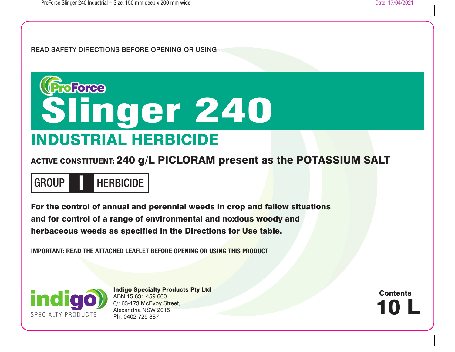READ SAFETY DIRECTIONS BEFORE OPENING OR USING



ACTIVE CONSTITUENT: 240 g/L PICLORAM present as the POTASSIUM SALT

GROUP HERBICIDE **I**

For the control of annual and perennial weeds in crop and fallow situations and for control of a range of environmental and noxious woody and herbaceous weeds as specified in the Directions for Use table.

**IMPORTANT: READ THE ATTACHED LEAFLET BEFORE OPENING OR USING THIS PRODUCT**



Indigo Specialty Products Pty Ltd ABN 15 631 459 660 6/163-173 McEvoy Street, Alexandria NSW 2015 Ph: 0402 725 887

10 L **Contents**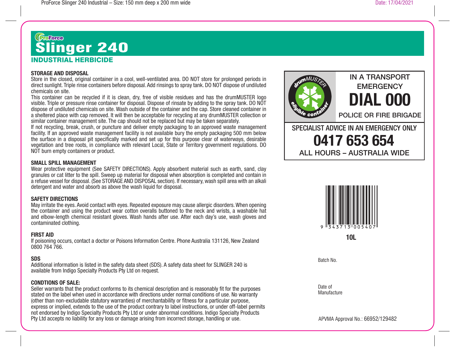# INDUSTRIAL HERBICIDE **Chance**<br>Slinger 240

## **STORAGE AND DISPOSAL**

Store in the closed, original container in a cool, well-ventilated area. DO NOT store for prolonged periods in direct sunlight. Triple rinse containers before disposal. Add rinsings to spray tank. DO NOT dispose of undiluted chemicals on site.

This container can be recycled if it is clean, dry, free of visible residues and has the drumMUSTER logo visible. Triple or pressure rinse container for disposal. Dispose of rinsate by adding to the spray tank. DO NOT dispose of undiluted chemicals on site. Wash outside of the container and the cap. Store cleaned container in a sheltered place with cap removed. It will then be acceptable for recycling at any drumMUSTER collection or similar container management site. The cap should not be replaced but may be taken separately.

If not recycling, break, crush, or puncture and deliver empty packaging to an approved waste management facility. If an approved waste management facility is not available bury the empty packaging 500 mm below the surface in a disposal pit specifically marked and set up for this purpose clear of waterways, desirable vegetation and tree roots, in compliance with relevant Local, State or Territory government regulations. DO NOT burn empty containers or product.

## **SMALL SPILL MANAGEMENT**

Wear protective equipment (See SAFETY DIRECTIONS). Apply absorbent material such as earth, sand, clay granules or cat litter to the spill. Sweep up material for disposal when absorption is completed and contain in a refuse vessel for disposal. (See STORAGE AND DISPOSAL section). If necessary, wash spill area with an alkali detergent and water and absorb as above the wash liquid for disposal.

## **SAFETY DIRECTIONS**

May irritate the eyes. Avoid contact with eyes. Repeated exposure may cause allergic disorders. When opening the container and using the product wear cotton overalls buttoned to the neck and wrists, a washable hat and elbow-length chemical resistant gloves. Wash hands after use. After each day's use, wash gloves and contaminated clothing.

#### **FIRST AID**

If poisoning occurs, contact a doctor or Poisons Information Centre. Phone Australia 131126, New Zealand 0800 764 766.

#### **SDS**

Additional information is listed in the safety data sheet (SDS). A safety data sheet for SLINGER 240 is available from Indigo Specialty Products Pty Ltd on request.

## **CONDTIONS OF SALE:**

Seller warrants that the product conforms to its chemical description and is reasonably fit for the purposes stated on the label when used in accordance with directions under normal conditions of use. No warranty (other than non-excludable statutory warranties) of merchantability or fitness for a particular purpose, express or implied, extends to the use of the product contrary to label instructions, or under off-label permits not endorsed by Indigo Specialty Products Pty Ltd or under abnormal conditions. Indigo Specialty Products Pty Ltd accepts no liability for any loss or damage arising from incorrect storage, handling or use.



# **EMERGENCY DIAL 000**

IN A TRANSPORT

POLICE OR FIRE BRIGADE

SPECIALIST ADVICE IN AN EMERGENCY ONLY **0417 653 654** ALL HOURS – AUSTRALIA WIDE



**10L**

Batch No.

Date of Manufacture

APVMA Approval No.: 66952/129482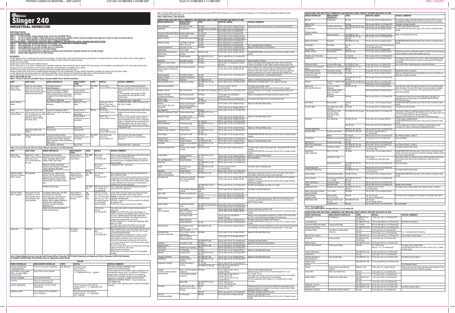PROFORCE SLINGER 240 INDUSTRIAL – 36PP LEAFLET FLAT SIZE: 504 MM WIDE X 339 MM DEEP FOLDS TO: 84 MM WIDE X 113 MM DEEP POLDS TO: 84 MM WIDE X 113 MM DEEP DATE: 17/04/2021 PLAT SIZE: 504 DATE: 17/04/2021

# Grands Slinger 240

| <b>CROP</b>                                                        | <b>CROP STAGE</b>                                                                                                                                          |           | <b>WEEDS CONTROLLED</b>                                                                                                                                                                                                                                               |              | <b>WEED GROWTH</b><br><b>STAGE</b>                                             |                             | <b>STATE</b>     |                                       | RATE/ha                                                                                                                                               |                                                                                                                                                                                                                                                                                                                                                                        | <b>CRITICAL COMMENTS</b>                                                                                                                                                                                                                                                                                                                                                                                                                                                                                                                                                                                                               |
|--------------------------------------------------------------------|------------------------------------------------------------------------------------------------------------------------------------------------------------|-----------|-----------------------------------------------------------------------------------------------------------------------------------------------------------------------------------------------------------------------------------------------------------------------|--------------|--------------------------------------------------------------------------------|-----------------------------|------------------|---------------------------------------|-------------------------------------------------------------------------------------------------------------------------------------------------------|------------------------------------------------------------------------------------------------------------------------------------------------------------------------------------------------------------------------------------------------------------------------------------------------------------------------------------------------------------------------|----------------------------------------------------------------------------------------------------------------------------------------------------------------------------------------------------------------------------------------------------------------------------------------------------------------------------------------------------------------------------------------------------------------------------------------------------------------------------------------------------------------------------------------------------------------------------------------------------------------------------------------|
| Barley, Canary<br>Grass, Oats,<br>Triticale, Wheat                 | Apply from early tillering<br>(when the main shoot has 4-5<br>leaves and 2 or more new<br>tillers have formed) to start of<br>jointing (first node (Z30)). |           | Climbing Buckwheat<br>(Black Bindweed)<br>Common Sowthistle, Doublegee<br>(Spiny Emex), Mustard, Saffron                                                                                                                                                              |              | Up to 6 leaf<br>Young rosette or<br>seedling plants up to 8                    |                             | Qld, NSW<br>only |                                       | 110 mL plus<br>560 mL of MCPA 750 g/L                                                                                                                 |                                                                                                                                                                                                                                                                                                                                                                        | For best control of Climbing Buckwheat<br>apply at early tillering as this weed becomes<br>increasingly difficult to control as it becomes<br>larger.<br>To avoid possible crop damage, DO NOT                                                                                                                                                                                                                                                                                                                                                                                                                                         |
|                                                                    |                                                                                                                                                            |           | Thistle, Skeleton Weed, Turnip Weed,<br>Variegated Thistle, Wild Radish, Wild<br>Turnip                                                                                                                                                                               |              | true leaves                                                                    |                             |                  |                                       |                                                                                                                                                       |                                                                                                                                                                                                                                                                                                                                                                        | spray outside the early tillering to early<br>jointing stage.                                                                                                                                                                                                                                                                                                                                                                                                                                                                                                                                                                          |
| Barley, Triticale,<br>Wheat                                        |                                                                                                                                                            |           | N.Z. Spinach <sup>1</sup> , Wireweed <sup>1</sup><br>Common Sowthistle, N.Z. Spinach,<br>Wireweed                                                                                                                                                                     |              | Up to 4 leaf<br>Apply up to 4 leaf<br>stage                                    |                             |                  |                                       | 85 mL plus 450 mL<br>MCPA 750 g/L plus<br>5 g metsulfuron methyl<br>$600$ g/kg                                                                        |                                                                                                                                                                                                                                                                                                                                                                        | Suppression only - spray early.<br>Add WetDrop Wetter 1000 at the rate of 100<br>mL/100 L of water.                                                                                                                                                                                                                                                                                                                                                                                                                                                                                                                                    |
| Barley,<br>Canary grass, Oats,<br>Triticale, Wheat                 | Apply from 3 leaf to early<br>tillering (when the main shoot<br>has 4-5 leaves and 2 or more Wild Turnip<br>new tillers 600 mL have                        |           | Capeweed, Doublegee, Saffron<br>Thistle, Turnip Weed, Wild Mustard,                                                                                                                                                                                                   |              | Young rosette or<br>seedling plants up to 4<br>true leaves<br>Young rosette or |                             | WA only          |                                       | 65 mL plus<br>340 mL MCPA 750 g/L<br>80 mL plus                                                                                                       |                                                                                                                                                                                                                                                                                                                                                                        | To avoid possible crop damage DO NOT spray<br>outside the early tillering to early jointing<br>stage.<br>Caution: DO NOT use this product where the                                                                                                                                                                                                                                                                                                                                                                                                                                                                                    |
|                                                                    | formed) to start of jointing<br>(first node (Z30)).                                                                                                        |           |                                                                                                                                                                                                                                                                       |              | seedling plants up to 6<br>true leaves                                         |                             |                  |                                       | 420 g/L MCPA 750 g/L                                                                                                                                  |                                                                                                                                                                                                                                                                                                                                                                        | land to be treated will be sown to lupins or<br>peas the following year or where a volunteer<br>medic or subclover pasture is required in the<br>following season. Only use when a cereal<br>crop will follow the cereal crop to be treated.                                                                                                                                                                                                                                                                                                                                                                                           |
|                                                                    |                                                                                                                                                            |           | Wireweed <sup>1</sup>                                                                                                                                                                                                                                                 |              | Up to 4 leaf                                                                   |                             |                  |                                       |                                                                                                                                                       |                                                                                                                                                                                                                                                                                                                                                                        | <sup>1</sup> Suppression only                                                                                                                                                                                                                                                                                                                                                                                                                                                                                                                                                                                                          |
|                                                                    | Apply from early to mid-<br>tillering.                                                                                                                     |           | Docks, Sorrel                                                                                                                                                                                                                                                         |              | Active growth                                                                  |                             |                  |                                       | 110 mL plus<br>560 g of MCPA 750 g/L                                                                                                                  |                                                                                                                                                                                                                                                                                                                                                                        |                                                                                                                                                                                                                                                                                                                                                                                                                                                                                                                                                                                                                                        |
| Linseed, Linola                                                    | Apply when the crop is 8-20<br>cm high                                                                                                                     |           | Climbing Buckwheat (Black<br>Bindweed), Doublegee (Spiny Emex),<br>Mustard, Saffron Thistle, Skeleton<br>Weed, Variegated Thistle, Wild Radish,<br><b>Wild Turnip</b>                                                                                                 |              | Young rosette or<br>seedling plants up to 4<br>true leaves                     |                             | Qld, NSW<br>only |                                       | 70 to 90 mL plus<br>375 mL to<br>470 mL MCPA 750                                                                                                      |                                                                                                                                                                                                                                                                                                                                                                        | Use the higher rate when Climbing<br>Buckwheat is present or weed growth is<br>advanced.                                                                                                                                                                                                                                                                                                                                                                                                                                                                                                                                               |
|                                                                    |                                                                                                                                                            |           | N.Z. Spinach <sup>1</sup> , Wireweed <sup>1</sup>                                                                                                                                                                                                                     |              | Up to 2 leaf                                                                   |                             |                  |                                       |                                                                                                                                                       |                                                                                                                                                                                                                                                                                                                                                                        | <sup>1</sup> Suppression only - spray early.                                                                                                                                                                                                                                                                                                                                                                                                                                                                                                                                                                                           |
|                                                                    |                                                                                                                                                            |           | Table 2: For use in tank mix with 2,4-D Amine 625 g/L (Farmalinx 2,4-D 625 Herbicide)                                                                                                                                                                                 |              |                                                                                |                             |                  |                                       |                                                                                                                                                       |                                                                                                                                                                                                                                                                                                                                                                        |                                                                                                                                                                                                                                                                                                                                                                                                                                                                                                                                                                                                                                        |
| <b>CROP</b>                                                        | <b>CROP STAGE</b>                                                                                                                                          |           | <b>WEEDS CONTROLLED</b>                                                                                                                                                                                                                                               | <b>STAGE</b> | <b>WEED GROWTH</b>                                                             | <b>STATE</b>                |                  | RATE/ha                               |                                                                                                                                                       |                                                                                                                                                                                                                                                                                                                                                                        | <b>CRITICAL COMMENTS</b>                                                                                                                                                                                                                                                                                                                                                                                                                                                                                                                                                                                                               |
| Barley, Oats,<br>Triticale, Wheat                                  | Apply from 3-4 tiller<br>stage to start of jointing<br>(first node) Z23 to<br>231 for least effect on<br>the crop.                                         |           | <b>Climbing Buckwheat (Black</b><br>Bindweed), New Zealand Spinach,<br>Docks, Doublegee (Spiny Emex),<br>Saffron Thistle, Sow Thistle                                                                                                                                 |              | Young rosette or<br>seedling plants up to<br>8 true leaves                     | Qld. NSW<br>  only          |                  | 95 mL plus<br>145 mL of               | 2,4-D Amine 625                                                                                                                                       | becomes larger.                                                                                                                                                                                                                                                                                                                                                        | Winter cereals may be treated using an aircraft or ground<br>boom (see APPLICATION SECTION).<br>For best control of Climbing Buckwheat, apply early as<br>this weed becomes increasingly difficult to control as it                                                                                                                                                                                                                                                                                                                                                                                                                    |
|                                                                    |                                                                                                                                                            |           | Mustards, Radish, Turnip Weed,<br>Hexham Scent, Mintweed, Variegated<br>Thistle, Sunflower, Wireweed <sup>2</sup><br><b>Skeleton Weed</b>                                                                                                                             |              |                                                                                | SA only                     |                  | 95 mL plus<br>520 mL                  | 2.4-D Amine 625                                                                                                                                       |                                                                                                                                                                                                                                                                                                                                                                        | <sup>2</sup> Suppression only - spray early.                                                                                                                                                                                                                                                                                                                                                                                                                                                                                                                                                                                           |
| Stubble or fallow<br>land prior to sowing<br><b>Winter Cereals</b> | Not applicable                                                                                                                                             | spp.)     | Amaranthus spp., Bathurst Burr,<br>Bellvine, Fat Hen, Morning Glory,<br>Noogoora Burr, Parthenium Weed,<br>Redroot Amaranth, Sesbania Pea,<br>Stinking Roger, Thornapple (Datura                                                                                      | diameter     | Young rosette or<br>seedling plants up<br>to 25 cm height or                   | Qld, NSW<br>only            |                  | 315 mL plus<br>480 mL                 | 2,4-D Amine 625                                                                                                                                       | May be applied using an aircraft or ground boom (see<br>APPLICATION SECTION).<br>This rate will provide control of weeds present at the time<br>of application and residual control of later germinations.<br>DO NOT apply two months prior to sowing winter cereals<br>as some damage to the crop may occur, particularly if<br>conditions are dry after application. |                                                                                                                                                                                                                                                                                                                                                                                                                                                                                                                                                                                                                                        |
|                                                                    |                                                                                                                                                            |           | Fleabane (Conyza spp)                                                                                                                                                                                                                                                 |              |                                                                                | Qld. NSW<br>only            |                  |                                       | 220 mL plus 335 mL<br>2,4-D Amine 625<br>plus glyphosate                                                                                              |                                                                                                                                                                                                                                                                                                                                                                        | Rate of glyphosate required determined by the grass<br>species present at application.                                                                                                                                                                                                                                                                                                                                                                                                                                                                                                                                                 |
| <b>Summer Cereals</b><br>Maize, Sorghum                            | Spray when the crop<br>has between 4 and 6<br>fully expanded leaves<br>and secondary roots<br>have developed.                                              |           | Thornapple (Datura spp.) and other<br>broadleaf weeds including:<br>Amaranthus spp., Annual Ground<br>Cherry, Bladder Ketmia, Caltrop,<br>Bellvine, Black Pigweed, Mintweed,<br>Noogoora Burr, Red Pigweed,<br>Sesbania Pea, Wild Gooseberry,<br><b>Wandering Jew</b> | diameter     | Young rosette or<br>seedling plants up<br>to 15 cm height or                   | Qld,<br>NSW,<br>ACT<br>only |                  |                                       | 105 mL or 155 mL<br>plus 160 mL or 240<br>mL 2,4-D Amine 625<br>and 1.25 L or 1.67 L/<br>ha atrazine flowable<br>or an equivalent<br>granular product | the atrazine label.                                                                                                                                                                                                                                                                                                                                                    | Use the lower rate when weeds are small and actively<br>growing. Use the higher rate for larger weeds.<br>Caution: If rotating to atrazine susceptible crops, DO NOT<br>apply later than November.<br>Add either a wetter or a crop oil as required according to<br>DO NOT add a crop oil when using on sorghum.                                                                                                                                                                                                                                                                                                                       |
|                                                                    |                                                                                                                                                            |           | Datura spp. and other broadleaved<br>weeds, as listed above                                                                                                                                                                                                           |              |                                                                                |                             |                  | 155 mL plus<br>520 mL                 | 2,4-D Amine 625                                                                                                                                       | Datura spp.<br>plants are brittle.                                                                                                                                                                                                                                                                                                                                     | This mixture will result in reduced residual control of<br>Caution: This mixture may cause crop damage. To<br>minimize damage, avoid applying these chemicals when<br>the crop is rapidly growing under high temperature<br>and soil moisture conditions. Use droppers and avoid<br>spraying the growing points of the crop.<br>DO NOT cultivate for 10-14 days after application while<br>For further advice seek information from your state<br>agriculture department or your local spray adviser.                                                                                                                                  |
| Sugar cane                                                         | Vegetative                                                                                                                                                 | Sicklepod |                                                                                                                                                                                                                                                                       |              | See critical<br>comments                                                       | Qld only                    |                  | 220-470 mL<br>plus<br>$1.2 L - 1.5 L$ | 2,4-D Amine 625                                                                                                                                       | varieties.                                                                                                                                                                                                                                                                                                                                                             | May be applied using an aircraft using at least 50 L/ha of<br>water or ground boom using at least 200 L/ha of water<br>(see APPLICATION SECTION).<br>Always add Uptake* Spraying oil at 1 L/200 L, or add<br>WetDrop Wetter 1000 at the rate of 200 mL/200 L of<br>spray mixture. Use 220 mL plus 1135 mL/ha 2,4-D<br>Amine 625 when weeds are less than 50 cm tall. Use<br>315 mL plus 1280 mL/ha 2,4-D Amine 625 when weeds<br>are 50 to 100 cm tall.<br>Use 470 mL plus 1520 mL/h 2,4-D Amine 625 rate when<br>weeds are more than 100 cm tall.<br>Apply only once per season.<br>DO NOT add 2,4-D Amine to known 2,4-D susceptible |

Table 3: Fallow Situation for use in tank mix with Triclopyr 600 g/L (Farmalinx TRIPYR 600 EC Herbicide) and Glyphosate 450 g/L (Farmalinx GLYPHO 450 Herbicide)<br>See GENERAL INSTRUCTIONS-APPLICATION section for application

| <b>FALLOW</b>                                                         |                                                              |               |                                                                                                      |                                                                                                                                                                                                                                                |  |  |  |  |  |
|-----------------------------------------------------------------------|--------------------------------------------------------------|---------------|------------------------------------------------------------------------------------------------------|------------------------------------------------------------------------------------------------------------------------------------------------------------------------------------------------------------------------------------------------|--|--|--|--|--|
| <b>WEEDS CONTROLLED</b>                                               | <b>WEED GROWTH CONTROLLED</b>                                | <b>STATE</b>  | RATE/ha                                                                                              | <b>CRITICAL COMMENTS</b>                                                                                                                                                                                                                       |  |  |  |  |  |
| <b>Blackberry Nightshade</b><br>- suppression only                    | 10 to 25 cm tall prior to flowering                          | Qld. NSW only | 85 to 165 mL plus<br>100 to 200 mL                                                                   | FOR USE BY GROUND EQUIPMENT ONLY.<br>Plants must be actively growing.                                                                                                                                                                          |  |  |  |  |  |
| Camel Melon, Prickly Paddy<br>Melon, Cucumber Melon<br>(Cucumis melo) | From 2 leaf to 50 cm diameter                                |               | Triclopyr 600 g/L+<br>1.2 L Glyphosate 450 g/L + adiuvant                                            | Use the lower rate on the smaller weeds, as specified in the<br>weed growth stage (or up to 5 cm diameter for Polymeria<br>pusilla). Refer to GLYPHO 450 label for use of adjuvant.<br>DO NOT plant susceptible crops for up to 9 months after |  |  |  |  |  |
| Common Sowthistle                                                     | From 8 leaf to flowering                                     |               |                                                                                                      | application, as specified in GENERAL INSTRUCTIONS -                                                                                                                                                                                            |  |  |  |  |  |
| Cow Vine                                                              | From 2 to 5 leaf up to 15 cm<br>diameter, prior to flowering |               |                                                                                                      | MINIMUM RECROPPING PERIODS - Black Cracking Clav<br>Soils, NNSW & Old.<br>Dry conditions after application will increase the recropping                                                                                                        |  |  |  |  |  |
| Lucerne (established)                                                 | Active growth, 15 to 25 cm high.<br>during Spring            |               | 125 to 210 mL plus 150 to 250 mL<br>triclopyr 600 g/L + 1.2 L glyphosate $450+$<br>adjuvant          | intervals.                                                                                                                                                                                                                                     |  |  |  |  |  |
| Polymeria pusilla                                                     | 2 to 12 leaf up to 20 cm diameter.<br>prior to flowering     |               | 85 to 165 mL plus 100 to 200 mL<br>triclopyr 600 $a/L + 1.2 L$ alyphosate<br>$450 + \text{adjuvant}$ |                                                                                                                                                                                                                                                |  |  |  |  |  |

| (Farmalinx Metfuron 600 WG Herbicide)<br>Table 4: High Volume / Spot Spraying                   |                                                              |                                                        |                                                                                                                              | PART B: WOODY WEEDS SITUATION - For use with Triclopyr 600 g/L (Farmalinx TRIPYR 600 EC Herbicide ) or 2,4-D Amine 625 g/L (Farmalinx 2,4-D 625 Herbicide) or Metsulfuron Methyl 600 g/kg                  | <b>WEEDS CONTROLLED</b>                                              | <b>WEED GROWTH</b><br><b>CONTROLLED</b>                                         | <b>STATE</b>                                       | AGRICULTURAL NON-CROP AREAS, COMMERCIAL AND INDUSTRIAL AREAS, FORESTS, PASTURES AND RIGHTS-OF-WAY<br><b>RATE/100 L WATER</b>   | <b>CRITICAL COMMENTS</b>      |                                                                                                                                                                                                                    |
|-------------------------------------------------------------------------------------------------|--------------------------------------------------------------|--------------------------------------------------------|------------------------------------------------------------------------------------------------------------------------------|------------------------------------------------------------------------------------------------------------------------------------------------------------------------------------------------------------|----------------------------------------------------------------------|---------------------------------------------------------------------------------|----------------------------------------------------|--------------------------------------------------------------------------------------------------------------------------------|-------------------------------|--------------------------------------------------------------------------------------------------------------------------------------------------------------------------------------------------------------------|
| <b>WEEDS CONTROLLED</b>                                                                         | <b>WEED GROWTH</b>                                           | <b>STATE</b>                                           | AGRICULTURAL NON-CROP AREAS, COMMERCIAL AND INDUSTRIAL AREAS, FORESTS, PASTURES AND RIGHTS-OF-WAY<br><b>RATE/100 L WATER</b> | <b>CRITICAL COMMENTS</b>                                                                                                                                                                                   | Manuka                                                               | At flowering                                                                    | Vic only                                           | 210 mL plus 250 mL triclopyr 600 g/L                                                                                           |                               | For optimum results, add Pulse Penetrant at 200 mL/100 L of spray<br>Thoroughly wet foliage, stems and soil around the base of the plants.                                                                         |
| African Boxthorn<br>Alkali Sida                                                                 | <b>CONTROLLED</b><br>Less than 2 m tall<br>Pre-flowering     | <b>All States</b>                                      | 210 mL plus 250 mL triclopyr 600 g/L<br>Qld, NSW, ACT, Vic, WA only   95 mL plus 145 mL 2,4-D Amine 625                      | Apply when bushes have good leaf cover, growth and no leaf fall.                                                                                                                                           | Mayne's Pest<br>Mesquite<br>(Prosopis spp.)                          | Seedling, full leaf and<br>flowering before podding                             | Qld only<br>QId. NSW, ACT, WA, NT only<br>Qld only | 190 mL plus 290 mL 2,4-D Amine 625<br>145 mL plus 175 mL triclopyr 600 g/L<br>280 mL plus 335 mL triclopyr 600 g/L             |                               | Thorough coverage essential.<br>DO NOT spray plants bearing pods.<br>Add WETDROP WETTER at the rate of 100 mL/100 L of water for best                                                                              |
| Amsinckia (Yellow Burr Weed)   During rosette stage                                             |                                                              | SA only<br>Vic, SA only                                | 45 mL plus 70 mL 2.4-D Amine 625<br>25 mL plus 35 mL 2,4-D Amine 625                                                         |                                                                                                                                                                                                            | Prosopis velutina<br>Mistflower                                      | Spring to Autumn                                                                | Qld, NSW, ACT only                                 | 145 mL plus 175 mL triclopyr 600 g/L                                                                                           | results                       | Apply as a thorough foliar spray.                                                                                                                                                                                  |
| Angophora spp<br>Apple-of-Sodom                                                                 | 1 to 3 m tall<br>Flowering to early fruiting                 | <b>All States</b><br>Vic only                          | 145 mL plus 175 mL triclopyr 600 g/L<br>205 mL plus 310 mL 2,4-D Amine 625                                                   |                                                                                                                                                                                                            |                                                                      |                                                                                 | Qld, NSW, ACT, Vic, SA,<br>WA only                 | 205 mL plus 310 mL 2,4-D Amine 625                                                                                             |                               |                                                                                                                                                                                                                    |
| <b>Artichoke Thistle</b>                                                                        | Late Winter to Spring<br>before flowering                    | SA only<br>Vic only                                    | 95 mL plus 145 mL 2,4-D Amine 625<br>65 mL plus 95 mL 2,4-D Amine 625                                                        |                                                                                                                                                                                                            | Mother-of-millions                                                   | Flowering                                                                       | Qld, NSW, ACT only                                 | 210 mL plus 250 mL triclopyr 600 g/L                                                                                           | <b>results</b>                | Add WETDROP WETTER at the rate of 100 mL/100 L of water for best                                                                                                                                                   |
| Australian Blackthorn                                                                           | Less than 2 m tall                                           | SA only<br>All States                                  | 40 mL plus 60 mL 2,4-D Amine 625<br>210 mL plus 250 mL triclopyr 600 g/L                                                     | SA - Use double rate at flowering.<br>Apply from late Spring to early Autumn.                                                                                                                              | Onion Weed<br>Ox-eye Daisy                                           | Pre-flower<br>Up to early flowering                                             | Vic, SA<br>only<br>Vic only                        | 25 mL plus 35 mL 2.4-D Amine 625 plus<br>125 mL diquat (200 g/L)<br>45 mL plus 70 mL 2,4-D Amine 625                           |                               |                                                                                                                                                                                                                    |
| Banksia spp.<br>Biddy Bush (Chinese Shrub)<br>(Sifton Bush)                                     | 1 to 3 m tall<br>Autumn when activelv<br>growing             | NSW, ACT only                                          | 145 mL plus 175 mL triclopyr 600 g/L<br>210 mL plus 250 mL triclopyr 600 g/L                                                 | Add WETDROP Wetter at the rate of 125 mL/100 L of water for best<br>esults                                                                                                                                 | Paddy's Lucerne                                                      | Active growth                                                                   | NSW, ACT only                                      | 210 mL plus 250 mL triclopyr 600 g/L                                                                                           |                               | Plants that have been continually slashed or grazed over many seasons<br>may be difficult to control and regrowth may occur                                                                                        |
| Bindweed                                                                                        | Double budding                                               | Qld, NSW, ACT, Vic, SA,<br>WA only                     | 405 mL plus 625 mL 2,4-D Amine 625                                                                                           |                                                                                                                                                                                                            | Pampas Lily-of-the-valley<br>Parkinsonia                             | Under 2 m tall                                                                  | Vic, SA only<br>Qld, WA, NT only                   | 205 mL plus 310 mL 2,4-D Amine 625<br>145 mL plus 175 mL triclopyr 600 g/L                                                     |                               | Add Uptake Spraying Oil @ 500 mL/100 L water. Avoid spraying under<br>dry conditions when plants are stressed or bearing pods. Thoroughly                                                                          |
| Blackberry<br>Blackberry-Hybrid (Rubus<br>spp.)                                                 | December-January<br>December and April                       | Vic only<br>All States                                 | 405 mL plus 625 mL 2,4-D Amine 625<br>150 mL plus 10 g metsulfuron methyl<br>600 g/kg                                        | Spray regrowth in Autumn.<br>Spray to thoroughly wet all foliage and canes. Ensure peripheral<br>runners are sprayed. DO NOT apply to plants bearing mature fruit.                                         | <b>Parthenium Weed</b>                                               | During rosette stage                                                            | Qld, NSW, ACT only                                 | 40 mL plus 60 mL 2,4-D Amine 625                                                                                               | wet foliage.                  | Use at least 3000 L diluted spray/ha in dense Parthenium                                                                                                                                                           |
| Blackberry in association with: Late Spring to Autumn<br>Docks, Ragwort, Smartweed,<br>Thistles |                                                              | All States                                             | 145 mL plus 175 mL triclopyr 600 g/L OR<br>210 mL plus 250 mL triclopyr 600 g/L                                              | Use the higher rate on plants which have been damaged by grazing<br>stock or insects and on known difficult to kill Blackberry. Where<br>erbicides other than Group I herbicides have been used, allow two | Paterson's Curse (Salvation<br>Jane)<br><b>Prairie Ground Cherry</b> | losette to pre-flowering<br>Flowering to fruiting                               | Qld, NSW, ACT, Vic, SA,<br>WA only<br>Vic only     | 45 mL plus 70 mL 2,4-D Amine 625<br>95 mL plus 145 mL 2,4-D Amine 625                                                          |                               | Retreatment will be necessary.                                                                                                                                                                                     |
| <b>Black Knapweed</b>                                                                           | December-January                                             | Vic only                                               | 205 mL plus 310 mL 2.4-D Amine 625                                                                                           | seasons regrowth to occur before respraying with SLINGER 240.<br>Spray plant and soil for 1 m around base of plant.                                                                                        | Prickly Pear (common).<br>Smooth Tree Pear                           | Active phyllode growth                                                          | <b>All States</b>                                  | 210 mL plus 250 mL triclopyr 600 g/L                                                                                           |                               | Apply as a thorough foliar spray. Regrowth may occur, so a follow-up<br>application may be necessary.                                                                                                              |
| <b>Bladder Campion</b><br><b>Blue Heliotrope</b>                                                | August Pre-flowering<br>Flowering                            | SA only<br>Qld, NSW, ACT only                          | 210 mL plus 250 mL triclopyr 600 g/L                                                                                         | Apply in a minimum spray volume of 1250 L/ha.                                                                                                                                                              | Quena (Tomato Weed)                                                  |                                                                                 | Qld, NSW, ACT, Vic, SA,<br>WA only                 | 205 mL plus 310 mL 2,4-D Amine 625                                                                                             |                               |                                                                                                                                                                                                                    |
| Boneseed (Bitou Bush)                                                                           | Flowering to fruiting                                        | Qld, NSW, ACT, Vic, SA,<br>WA only                     | 205 mL plus 310 mL 2,4-D Amine 625                                                                                           | Treat freshly cut stumps with 1 L/10 L water at any time.                                                                                                                                                  | Ragwort                                                              | SA only                                                                         | SA only                                            | Rosette to cabbage stage   Qld, NSW, ACT, Vic, WA only   95 mL plus 145 mL 2,4-D Amine 625<br>45 mL plus 70 mL 2,4-D Amine 625 |                               |                                                                                                                                                                                                                    |
| Borreria (Square Weed)                                                                          |                                                              | Qld only                                               | 45-95 mL plus 70-145 mL<br>2.4-D Amine 625                                                                                   | Use higher rate on older plants.<br>Add WETDROP WETTER at the rate of 100 mL/100 L of water.                                                                                                               | <b>Rubber Vine</b><br>(Not infected with rust)                       | Up to 1.5 m tall at<br>flowering                                                | Qld, WA, NT only                                   | 145 mL plus 175 mL triclopyr 600 g/L                                                                                           |                               | Spray all leaves and stems just to the point of run-off and thoroughly<br>spray the base of the plant. With larger, more dense stands, regrowth<br>may occur. Subsequent control of any regrowth should be done by |
| Boxthorn, African                                                                               | Prior to bud burst                                           |                                                        | Qld. NSW. ACT. Vic. WA only 1405 mL plus 625 mL 2.4-D Amine 625                                                              | Treat small plants only. Thorough coverage essential. Spray soil to<br>drip line.                                                                                                                          |                                                                      | Dense stands greater<br>than 1.5 m tall at<br>flowering                         |                                                    | 210 mL plus 250 mL triclopyr 600 g/L                                                                                           | basal bark spraying.          |                                                                                                                                                                                                                    |
| Bracken, Common<br>(Pteridium esculentum)<br>Broom, Cape                                        | Full frond expansion<br>Prior to pod formation               | <b>All States</b><br>SA only                           | 150 mL plus 10 g metsulfuron<br>methyl 600 g/kg<br>95 mL plus 145 mL 2,4-D Amine 625                                         | Spray to thoroughly wet all foliage, but not to cause run-off.<br>Thoroughly wet foliage and soil around base of plant.                                                                                    |                                                                      | All stages                                                                      | Qld only                                           | 405 mL plus 625 mL 2,4-D Amine 625                                                                                             |                               | Thoroughly wet leaves and soil around the base of the plant. Cut<br>and spray stump of large plants. See GENERAL INSTRUCTIONS,                                                                                     |
| Broom, English<br>Brooms:                                                                       | Spring to mid-Summer                                         | /ic, SA only<br>All States                             | 105 mL plus 125 mL triclopyr 600 g/L                                                                                         | Apply as a thorough foliage spray.                                                                                                                                                                         | Siam Weed                                                            | Active growth                                                                   | Qld, WA                                            | 145 mL plus 175 mL triclopyr 600 g/L                                                                                           | <b>APPLICATION section</b>    | Add WETDROP WETTER at the rate of 100 mL/100 L of water for best                                                                                                                                                   |
| Cape, English, Flax Leaf,<br>Montpellier                                                        | prior to pod formation<br>Autumn to Winter                   |                                                        | 145 mL plus 175 mL triclopyr 600 g/L                                                                                         |                                                                                                                                                                                                            | St John's Wort                                                       | From flowering to early                                                         | l only<br><b>All States</b>                        | 210 mL plus 250 mL triclopyr 600 g/L                                                                                           | results                       | Late Spring to early Summer.                                                                                                                                                                                       |
| <b>Burr Ragweed</b><br>Californian (perennial) Thistle                                          | During budding stage                                         | Qld only<br>Qld, NSW, ACT, Vic, SA,                    | 205 mL plus 310 mL 2,4-D Amine 625                                                                                           |                                                                                                                                                                                                            |                                                                      | seed set<br>Late Spring to early                                                |                                                    | Qld, NSW, ACT, Vic, SA only   155 mL plus 240 mL 2,4-D Amine 625                                                               |                               | High Volume: Apply by calibrated handgun with D5 or D6 (2-3 mm)                                                                                                                                                    |
| Camphor Laurel                                                                                  | Less than 2 m tall                                           | WA only<br><b>All States</b>                           | 145 mL plus 175 mL triclopyr 600 g/L                                                                                         | Apply as a thorough foliage spray.                                                                                                                                                                         |                                                                      | Summer, during<br>flowering to early<br>seed set                                |                                                    |                                                                                                                                |                               | nozzle plate and operated at 400-500 kpa (60-70 psi). Apply 3000 L/ha<br>(i.e. 3 L/10 square metres) to dense infestations.<br>Regrowth and seedlings may be retreated the following season.                       |
| Camel thorn                                                                                     | Above 2 m tall                                               | Vic, SA only                                           | 210 mL plus 250 mL triclopyr 600 g/L<br>405 mL plus 625 mL 2,4-D Amine 625                                                   |                                                                                                                                                                                                            | Sicklepod                                                            | Up to flowering                                                                 | Qld, WA, NT only                                   | 85 mL plus 100 mL triclopyr 600 g/L                                                                                            | results                       | DO NOT apply to podding plants.<br>Add WETDROP WETTER at the rate of 100 mL/100 L of water for best                                                                                                                |
| <b>Cape Honeyflower</b><br>Casuarina spp.                                                       | At flowering stage<br>1 to 3 m tall                          | Qld, NSW, ACT, Vic, SA,<br>WA only<br>All States       | 205 mL plus 310 mL 2,4-D Amine 625<br>145 mL plus 175 mL triclopyr 600 g/l                                                   | Apply as a thorough foliage spray                                                                                                                                                                          |                                                                      |                                                                                 | Qld, NT only                                       | 95 mL plus 145 mL 2,4-D Amine 625                                                                                              |                               | See also Sugarcane in Table 2. In pastures a repeat spray may be<br>necessary for control of subsequent seedling germination                                                                                       |
| <b>Chilean or Green Cestrum</b>                                                                 | During full leaf                                             | Qld, NSW, ACT, Vic, SA,<br>WA only                     | 205 mL plus 310 mL 2,4-D Amine 625                                                                                           |                                                                                                                                                                                                            | Silverleaf Nightshade<br><b>Skeleton Weed</b>                        | Summer and Autumn                                                               | NSW, ACT, Vic, SA only<br>Qld, NSW, ACT, WA only   | 205 mL plus 310 mL 2,4-D Amine 625<br>405-625 mL plus 625-960 mL                                                               |                               |                                                                                                                                                                                                                    |
| Chinee Apple                                                                                    | Less than 2 m tall                                           | Qld, WA only                                           | 145 mL plus 175 mL triclopyr 600 g/L                                                                                         | Add WETDROP WETTER at the rate of 100 mL/100 L of water for best<br>esults                                                                                                                                 | Smart Weed                                                           | Winter<br>Seedling to pre-flowering   Qld, NSW, ACT, Vic, SA,                   | Vic, SA only                                       | 2,4-D Amine 625<br>205 mL plus 310 mL 2.4-D Amine 625<br>45 mL plus 70 mL 2,4-D Amine 625                                      | Very susceptible.             | See "Winter Cereals" in Table 2.                                                                                                                                                                                   |
| <b>Chinese Scrub</b><br><b>Cockspur Thorn</b>                                                   | Autumn<br>Spring to Autumn                                   | Vic only<br>Qld, NSW, ACT only                         | 205 mL plus 310 mL 2,4-D Amine 625<br>145 mL plus 175 mL triclopyr 600 g/L                                                   | Apply as a thorough foliage spray.                                                                                                                                                                         | <b>Spiny Broom</b>                                                   | During full leaf stage                                                          | WA only<br>Vic only                                | 205 mL plus 310 mL 2,4-D Amine 625                                                                                             |                               |                                                                                                                                                                                                                    |
| Colocynth<br><b>Common Sensitive Plant</b>                                                      | Seedling and established<br>plants<br>Any time when actively | QId, NSW, ACT, Vic, SA,<br>WA only<br>Qld, WA, NT only | 95 mL plus 145 mL 2.4-D Amine 625<br>85 mL plus 100 mL triclopyr 600 g/L                                                     | To avoid leaves closing during application, spray plants while moving                                                                                                                                      | Spiny Emex (Doublegee)<br>l Star Thistle                             | Seedling to rosette                                                             | Qld, NSW, ACT, Vic only<br>Old. NSW. ACT. Vic. SA. | 95 mL plus 145 mL 2,4-D Amine 625<br>95-155 mL plus 145-240 mL                                                                 |                               | See "Winter Cereals" in Table 2.<br>Use higher rates for older plants                                                                                                                                              |
|                                                                                                 | growing                                                      |                                                        |                                                                                                                              | forward<br>Add WETDROP WETTER at the rate of 100 mL/100 L of water for best<br>results                                                                                                                     | <b>Sweet Briar</b><br>(Rosa rubiginosa)                              | Up to 1.5 m tall                                                                | WA only<br>All States                              | 2,4-D Amine 625<br>145 mL plus 175 mL triclopyr 600 g/L                                                                        |                               | Add WETDROP WETTER at the rate of 100 mL/100 L of water for best<br>results. Full leaf to ripe fruit prior to leaf fall. Thorough wetting including                                                                |
| <b>Crofton Weed</b>                                                                             | Spring to Autumn<br>All stages                               | Qld, NSW, ACT, Vic, SA,<br>WA only                     | 145 mL plus 175 mL triclopyr 600 g/L<br>205 mL plus 310 mL 2,4-D Amine 625                                                   | Apply as a thorough foliage spray.<br>Very susceptible.                                                                                                                                                    |                                                                      | Less than 2 m tall                                                              |                                                    | 150 mL plus<br>10 g metsulfuron methyl 600 g/kg                                                                                |                               | the crown is recommended.<br>Apply when bushes are actively growing. Avoid spraying when bushes<br>are stressed, when leaf fall has commenced, or after the end of                                                 |
| <b>Cut Leaf Mignonette</b><br>Devil's Fig                                                       | Before flowering                                             | SA only<br>Qld, NSW, ACT, Vic, SA,<br>WA only          | 205 mL plus 310 mL 2,4-D Amine 625<br>205 mL plus 310 mL 2,4-D Amine 625                                                     |                                                                                                                                                                                                            |                                                                      | Full leaf to ripe fruit                                                         | Qld, NSW, ACT, Vic, SA,                            | 205 mL plus 310 mL 2.4-D Amine 625                                                                                             | February.<br>Spray thoroughly |                                                                                                                                                                                                                    |
| Docks                                                                                           | Full leaf to early<br>flowering                              | Qld, NSW, ACT, Vic, SA,<br>WA only                     | 25-45 mL plus 35-70 mL<br>2,4-D Amine 625                                                                                    | Use lower rate on seedlings only.                                                                                                                                                                          | <b>Tangled Hypericum</b>                                             |                                                                                 | WA only<br>Vic only                                | 205 mL plus 310 mL 2.4-D Amine 625                                                                                             |                               |                                                                                                                                                                                                                    |
| Dog Rose<br>Eastern Cotton Bush                                                                 | <b>During Summer</b><br>Spring to Autumn                     | SA only<br>Qld, NSW, ACT only                          | 205 mL plus 310 mL 2,4-D Amine 625<br>210 mL plus 250 mL triclopyr 600 g/L                                                   | Add Uptake Spraying Oil at 500 mL/100 mL of water. Some bushes                                                                                                                                             | Fhornapple (Datura spp.)                                             |                                                                                 | Qld, NSW, ACT only                                 | 45-95 mL plus 70-145 mL<br>2.4-D Amine 625                                                                                     |                               | Use higher rates for older plants.                                                                                                                                                                                 |
| (Mairean amicrophylla)<br>Eucalyptus spp.                                                       | Seedling and regrowth                                        | <b>All States</b>                                      | 145 mL plus 175 mL triclopyr 600 g/L OR                                                                                      | may require a follow-up spray to control regrowth.<br>Apply the higher rate where difficult to control species of Eucalyptus                                                                               | <b>Tobacco Weed</b><br>Tree-of-Heaven                                | Actively growing plants<br>Plants during full leaf up   Qld, NSW, ACT, Vic, SA, | Qld, WA, NT only                                   | 125 mL plus 150 mL triclopyr 600 g/L<br>205 mL plus 310 mL 2.4-D Amine 625                                                     | results.                      | Add WETDROP WETTER at the rate of 100 mL/100 L of water for best                                                                                                                                                   |
|                                                                                                 | from small lignotubers,<br>1 to 3 m tall                     |                                                        | 210 mL plus 250 mL triclopyr 600 g/L                                                                                         | regrowth is present.<br>Addition of an adjuvant may improve results contact Indigo Specialty<br>Products for details.                                                                                      | <b>Tufted Honeyflower</b>                                            | to $1.5$ m high<br>All growth stages                                            | WA only<br>Vic only                                | 205 mL plus 310 mL 2,4-D Amine 625                                                                                             |                               |                                                                                                                                                                                                                    |
|                                                                                                 |                                                              | Qld, NSW, ACT, Vic, SA,<br>WA only                     | 205 mL plus 310 mL 2.4-D Amine 625                                                                                           | DO NOT treat seedlings more than 2.0 m high.                                                                                                                                                               | Tutsan<br>Variegated Thistle                                         | During leaf fall<br>Rosette to pre-flowering                                    | Vic only<br>Qld, NSW, ACT, Vic, SA,                | 205 mL plus 310 mL 2.4-D Amine 625<br>45-95 mL plus 70-145 mL                                                                  | Results can be variable.      | Use higher rate on mature plants. See "Winter Cereals" in Table 2.                                                                                                                                                 |
| Galenia                                                                                         | Fresh growth in Spring to   NSW, ACT<br>Summer               | only                                                   | 210 mL plus 250 mL triclopyr 600 g/L                                                                                         | Use 2000 L of spray mixture/ha.                                                                                                                                                                            | Wattle (Acacia spp.) (except                                         | 1 to 3 m tall                                                                   | WA only<br><b>All States</b>                       | 2.4-D Amine 625<br>145 mL plus 175 mL triclopyr 600 g/L                                                                        |                               |                                                                                                                                                                                                                    |
| Garlic, Wild                                                                                    | Before new bulbils form                                      | Vic only<br>SA only                                    | 95 mL plus 145 mL 2,4-D Amine 625<br>80 mL plus 120 mL 2,4-D Amine 625                                                       |                                                                                                                                                                                                            | Corkwood Wattle)<br><b>Wild Rosemary</b>                             | Active growth,<br>$0.5$ to $1.0$ m tall                                         | Qld only                                           | 145-210 mL plus                                                                                                                |                               | Use lower rate on seedlings 0.5 tall. Apply as a thorough foliar spray.                                                                                                                                            |
| <b>Giant Bramble</b>                                                                            | Spring to Autumn                                             | Qld, WA, NT only                                       | 210 mL plus 250 mL triclopyr 600 g/L                                                                                         | Penetration of thick clumps may be difficult and respraying may be<br>necessary. Add WETDROP WETTER at the rate of 100 mL/100 L of<br>water for best results.                                              | (Cassinia laevis)<br>Wild Tobacco Tree                               | Spring to Autumn up to<br>2 m tall                                              | Qld, NSW, ACT only                                 | 175-250 mL triclopyr 600<br>145 mL plus<br>175 mL triclopyr 600 g/L                                                            |                               |                                                                                                                                                                                                                    |
| <b>Golden Thistle</b>                                                                           | Seedling and rosette<br>stage                                | Vic only                                               | Qld, NSW, ACT, SA, WA only   95 mL plus 145 mL 2,4-D Amine 625<br>155 mL plus 240 mL 2,4-D Amine 625                         |                                                                                                                                                                                                            | <b>Table 5: Boom Application</b>                                     | During full leaf                                                                | Qld only                                           | 205 mL plus 310 mL 2,4-D Amine 625                                                                                             | Very susceptible.             |                                                                                                                                                                                                                    |
| Gorse<br>(Ulex europaeus)                                                                       | 1 to 5 m tall<br>Over 1.5 m tall or                          | All States                                             | 104 mL plus 125 mL triclopyr 600 g/L<br>145 mL plus 175 mL triclopyr 600 g/L                                                 | Spring and Summer treatment only.<br>Add WETDROP WETTER at the rate of 100 mL/100 L of water for best                                                                                                      | For use with TRIPYR 600 EC (Triclopyr 600 g/L) or 2,4-D Amine 625    |                                                                                 |                                                    |                                                                                                                                |                               |                                                                                                                                                                                                                    |
|                                                                                                 | Autumn treatment<br>Less than 2 m tall                       |                                                        | 150 mL plus 10 g metsulfuron                                                                                                 | results.<br>Always use an organosilicon penetrant (e.g. Pulse*) at the rate of 200                                                                                                                         | <b>WEEDS CONTROLLED</b>                                              | <b>WEED GROWTH CONTROLLED</b>                                                   | <b>STATE</b>                                       | AGRICULTURAL NON-CROP AREAS, COMMERCIAL AND INDUSTRIAL AREAS, FORESTS, PASTURES AND RIGHTS-OF-WAY<br>RATE/ha                   |                               | <b>CRITICAL COMMENTS</b>                                                                                                                                                                                           |
|                                                                                                 | Winter treatment                                             |                                                        | methyl 600 g/kg<br>210 mL plus 250 mL triclopyr 600 g/L                                                                      | mL/100 L. Ensure thorough coverage of the whole plant.<br>Brownout may not be complete until Summer.                                                                                                       | Alkali Sida                                                          | Pre-flowering                                                                   | Qld, NSW, ACT, Vic,<br>SA, WA only                 | 1.09 L plus 1.68 L 2,4-D Amine 625                                                                                             |                               |                                                                                                                                                                                                                    |
|                                                                                                 | Spring treatment                                             | Vic only                                               | 155 mL plus 240 mL 2,4-D Amine 625                                                                                           | Add WETDROP WETTER at the rate of 100 mL/100 L of water for best<br>esults                                                                                                                                 | Amaranthus spp.<br>Amsinckia (Yellow Burr Weed)                      | During rosette stage                                                            | Vic, SA only                                       | Qld, NSW, ACT only<br>315 mL plus 480 mL 2,4-D Amine 625<br>625 mL plus 960 mL 2,4-D Amine 625                                 |                               | See Fallow land Table 2.                                                                                                                                                                                           |
| Green Cestrum                                                                                   | Late Spring to early<br>Autumn                               | Qld, NSW, ACT only                                     | 210 mL plus 250 mL triclopyr 600 g/L                                                                                         | One application may give satisfactory control. Any subsequent regrowth<br>and seedlings must be resprayed at approximately 1 metre high.                                                                   | Annual Ground Cherry                                                 |                                                                                 |                                                    | Qld, NSW, ACT only<br>315 mL plus 480 mL 2,4-D Amine 625                                                                       |                               |                                                                                                                                                                                                                    |
| <b>Groundsel Bush</b><br>(Baccharis halimifolia)                                                | Over 1.5 m tall<br>1 to 5 m tall in Spring<br>and Summer     | <b>All States</b>                                      | 105 mL plus 125 mL triclopyr 600 g/L                                                                                         | Apply as a thorough foliar spray.                                                                                                                                                                          | Artichoke Thistle                                                    | Late Winter to Spring before<br>flowering                                       | Vic only<br>SA only                                | 2.34 L plus 3.6 L 2,4-D Amine 625<br>780 mL plus 1.2 L 2,4-D Amine 625                                                         |                               | SA - Use double rate at flowering.                                                                                                                                                                                 |
|                                                                                                 | Over 1.5 m tall or<br>Autumn treatment                       |                                                        | 145 mL plus 175 mL triclopyr 600 g/L                                                                                         |                                                                                                                                                                                                            | Bathurst Burr, Bellvine<br>Bindwind                                  | During budding                                                                  | Qld, NSW, ACT, Vic,                                | Qld, NSW, ACT only<br>315 mL plus 480 mL 2,4-D Amine 625<br>2.35 L plus 3.6 L 2,4-D Amine 625                                  |                               | See Summer Cereals Table 2.                                                                                                                                                                                        |
| Hawthorn                                                                                        | Less than 2 m tall                                           | Qld, NSW, ACT only<br><b>All States</b>                | 205 mL plus 310 mL 2,4-D Amine 625<br>210 mL plus 250 mL triclopyr 600 g/L                                                   | Thorough coverage needed.<br>Apply from late Spring to early Autumn.                                                                                                                                       | <b>Bladder Ketmia</b>                                                |                                                                                 | SA, WA only                                        | Qld, NSW, ACT only<br>95 mL plus 520 mL 2,4-D Amine 625                                                                        |                               |                                                                                                                                                                                                                    |
| Heliotrope, Blue<br><b>Hoary Cress</b>                                                          | Rosette to pre-flowering                                     | Qld, NSW, ACT only<br>SA only                          | 315 mL plus 480 mL 2,4-D Amine 625<br>405 mL plus 625 mL 2,4-D Amine 625                                                     |                                                                                                                                                                                                            | Borreria (Square Weed)                                               | Flowering to fruiting                                                           | Qld only                                           | 315-780 mL plus<br>480 mL-1.2 L 2,4-D Amine 625                                                                                |                               | Use higher rate on older plants.<br>Add WETDROP WETTER at the rate of 100 mL/100 L of water<br>for best results.                                                                                                   |
| Horehound<br>Inkweed                                                                            | Pre-flowering<br>During full leaf                            | <b>All States</b><br>Qld, NSW, ACT, Vic, SA,           | 145 mL plus 175 mL triclopyr 600 g/L<br>155 mL plus 240 mL 2,4-D Amine 625                                                   | Apply as a thorough foliar spray.                                                                                                                                                                          | Caltrop (Yellow Vine)                                                |                                                                                 |                                                    | Qld, NSW, ACT only<br>95 mL plus 520 mL 2,4-D Amine 625                                                                        |                               |                                                                                                                                                                                                                    |
| Japanese Sunflower                                                                              | Pre-flowering                                                | WA only<br>Qld, NSW, ACT only                          | 145 mL plus 175 mL triclopyr 600 g/L                                                                                         | Apply as a thorough foliar spray.                                                                                                                                                                          | Camel thorn<br>Climbing Buckwheat                                    | Early growth stage                                                              | Vic only                                           | 9.38 L plus 14.4 L 2,4-D Amine 625<br>Qld, NSW, ACT only<br>95 mL plus 145 mL 2,4-D Amine 625                                  |                               | See Winter Cereals Table 2.                                                                                                                                                                                        |
| Khaki Weed                                                                                      | During full leaf in<br>Summer                                | Qld, NSW, ACT, Vic, SA,<br>WA only                     | 205 mL plus 310 mL 2,4-D Amine 625                                                                                           |                                                                                                                                                                                                            | (Black Bindweed)<br>Cobbler's Peg                                    |                                                                                 |                                                    | Qld, NSW, ACT only<br>315 mL plus 480 mL 2,4-D Amine 625                                                                       |                               |                                                                                                                                                                                                                    |
| Knapweed, Creeping                                                                              | During late Spring to<br>Summer                              | Vic, SA only<br>Qld, NSW, ACT, WA only                 | 405 mL plus 625 mL 2.4-D Amine 625<br>405-625 mL plus 625-960 mL<br>2,4-D Amine 625                                          |                                                                                                                                                                                                            | Fat Hen<br>Galenia                                                   | Fresh growth during Spring to                                                   | NSW, ACT only                                      | 2.08 L plus 2.5 L triclopyr 600 g/L                                                                                            |                               | See Fallowland Table 2.<br>Rough mine sites will require adequate spray equipment such                                                                                                                             |
| Lantana<br>(Lantana camara) (Lantana                                                            | Up to 1 m tall in Summer<br>to Autumn                        | <b>All States</b>                                      | 145 mL alone or plus 175 mL<br>triclopyr 600 g/L                                                                             | Add one of the following adjuvants.<br>Uptake Spraying Oil @ 0.5% v/v. Pulse Penetrant @ 0.1% v/v.                                                                                                         | Garlic, Wild                                                         | Summer<br>Before new bulbils form                                               | Vic only                                           | 2.35 L plus 3.6 L 2,4-D Amine 625                                                                                              |                               | as boomless nozzles for effective coverage.                                                                                                                                                                        |
| <i>montevidensis</i> )                                                                          | 1 to 2 m tall in Summer<br>to Autumn                         |                                                        | 210 mL alone or plus 250 mL<br>triclopyr 600 g/L OR                                                                          | D-C-Trate@ 1% v/v.<br>Thoroughly wet foliage, stems and soil around the base of the plants.                                                                                                                |                                                                      |                                                                                 | SA only                                            | 1.72 L plus 2.64 L 2,4-D Amine 625                                                                                             |                               |                                                                                                                                                                                                                    |
|                                                                                                 |                                                              |                                                        | 315 mL alone or plus 375 mL<br>triclopyr 600 g/L                                                                             | Use higher rate on known harder to kill varieties.<br>Use the combination with Triclopyr or 2,4-D Amine 625 for faster<br>งurndown                                                                         | Golden Thistle                                                       | Seedling and rosette stage                                                      | Qld, NSW, ACT, SA,<br>WA only<br>Vic only          | 1.09 L plus 1.68 L 2,4-D Amine 625<br>1.25 L plus 1.92 L 2,4-D Amine 625                                                       |                               |                                                                                                                                                                                                                    |
| Limebush                                                                                        | March-May<br>Anv time of vear with                           | Qld, NSW, ACT, Vic, SA,<br>WA only<br>Qld, NT          | 205 mL alone or plus<br>310 mL 2,4-D Amine 625<br>145 mL plus 175 mL                                                         | Penetration of thick clumps may be difficult and respraying may be                                                                                                                                         | Heliotrope, Common                                                   |                                                                                 |                                                    | Qld, NSW, ACT only<br>95 mL plus 145 mL 2,4-D Amine 625                                                                        |                               |                                                                                                                                                                                                                    |
|                                                                                                 | good leaf cover and soil only<br>moisture                    |                                                        | triclopyr 600 g/L                                                                                                            | required. Addition of an adjuvant may improve results contact Indigo<br>Specialty Products for details.                                                                                                    | Hexham Scent<br>Knapweed, Creeping                                   | During late Spring to Summer                                                    | Vic only                                           | Qld, NSW, ACT only   95 mL plus 520 mL 2,4-D Amine 625<br>2.35 L plus 3.6 L 2,4-D Amine 625                                    |                               | See Winter Cereals Table 2.                                                                                                                                                                                        |
| Lion Tail<br>(Leonatis nepetifolia)                                                             | Pre-flowering                                                | Qld only<br>Qld only                                   | 405 mL plus 625 mL 2,4-D Amine 625<br>85 mL plus 100 mL triclopyr 600 g/L                                                    | Thorough coverage to point of run-off.<br>Apply as a thorough foliar spray.<br>Add WETDROP WETTER at the rate of 100 mL/100 L of water for best                                                            |                                                                      |                                                                                 |                                                    |                                                                                                                                |                               |                                                                                                                                                                                                                    |
|                                                                                                 |                                                              |                                                        |                                                                                                                              | results.                                                                                                                                                                                                   |                                                                      |                                                                                 |                                                    |                                                                                                                                |                               |                                                                                                                                                                                                                    |

# INDUSTRIAL HERBICIDE

- DIRECTIONS FOR USE.<br>The Second War and Second War and Second Incla, in tank mix with MCPA 750 g/L<br>Table 1: For use in cereals, stubble or fallow land prior to sowing cereals, summer cereals, maize and sorghum and sugarcane
- 
- 
- 
- 
- 

**RESTRAINTS:**<br>DO NOT apply to crops or weeds which are not actively growing or to plants which may be stressed (not actively growing) due to prolonged periods of extreme cold, moisture stress (water-logged or<br>drought affec